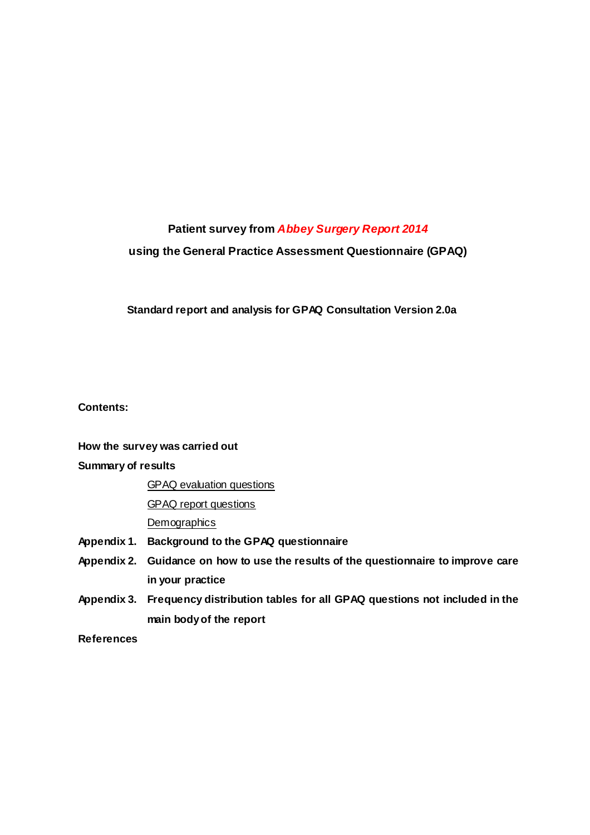## **Patient survey from Abbey Surgery Report 2014**

## **using the General Practice Assessment Questionnaire (GPAQ)**

## **Standard report and analysis for GPAQ Consultation Version 2.0a**

**Contents:** 

### **How the survey was carried out**

### **Summary of results**

GPAQ evaluation questions

GPAQ report questions

**Demographics** 

- **Appendix 1. Background to the GPAQ questionnaire**
- **Appendix 2. Guidance on how to use the results of the questionnaire to improve care in your practice**
- **Appendix 3. Frequency distribution tables for all GPAQ questions not included in the main body of the report**

**References**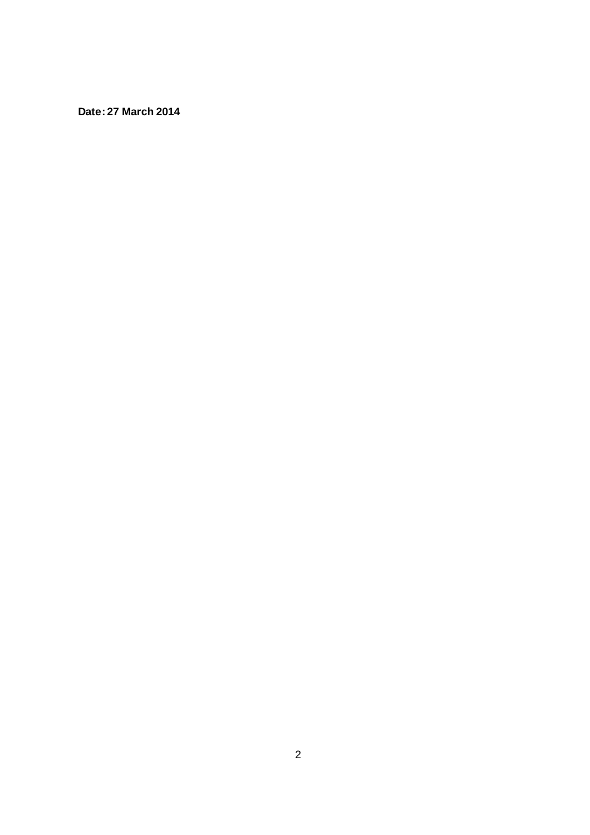**Date: 27 March 2014**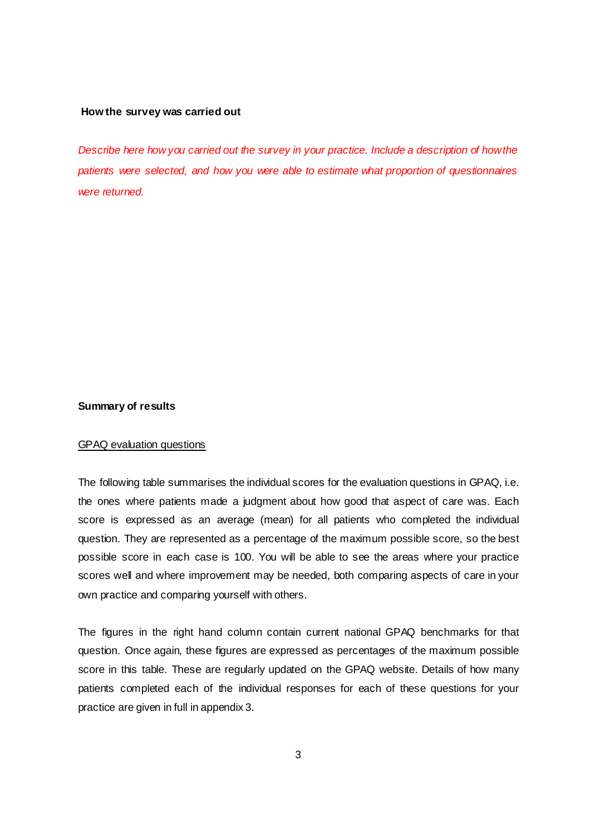#### **How the survey was carried out**

Describe here how you carried out the survey in your practice. Include a description of how the patients were selected, and how you were able to estimate what proportion of questionnaires were returned.

#### **Summary of results**

#### GPAQ evaluation questions

The following table summarises the individual scores for the evaluation questions in GPAQ, i.e. the ones where patients made a judgment about how good that aspect of care was. Each score is expressed as an average (mean) for all patients who completed the individual question. They are represented as a percentage of the maximum possible score, so the best possible score in each case is 100. You will be able to see the areas where your practice scores well and where improvement may be needed, both comparing aspects of care in your own practice and comparing yourself with others.

The figures in the right hand column contain current national GPAQ benchmarks for that question. Once again, these figures are expressed as percentages of the maximum possible score in this table. These are regularly updated on the GPAQ website. Details of how many patients completed each of the individual responses for each of these questions for your practice are given in full in appendix 3.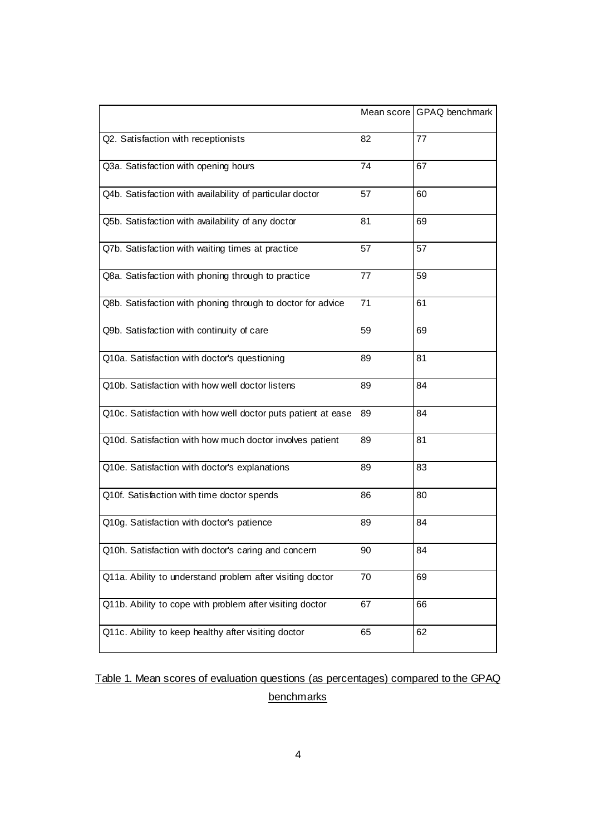|                                                              |    | Mean score GPAQ benchmark |
|--------------------------------------------------------------|----|---------------------------|
| Q2. Satisfaction with receptionists                          | 82 | 77                        |
| Q3a. Satisfaction with opening hours                         | 74 | 67                        |
| Q4b. Satisfaction with availability of particular doctor     | 57 | 60                        |
| Q5b. Satisfaction with availability of any doctor            | 81 | 69                        |
| Q7b. Satisfaction with waiting times at practice             | 57 | 57                        |
| Q8a. Satisfaction with phoning through to practice           | 77 | 59                        |
| Q8b. Satisfaction with phoning through to doctor for advice  | 71 | 61                        |
| Q9b. Satisfaction with continuity of care                    | 59 | 69                        |
| Q10a. Satisfaction with doctor's questioning                 | 89 | 81                        |
| Q10b. Satisfaction with how well doctor listens              | 89 | 84                        |
| Q10c. Satisfaction with how well doctor puts patient at ease | 89 | 84                        |
| Q10d. Satisfaction with how much doctor involves patient     | 89 | 81                        |
| Q10e. Satisfaction with doctor's explanations                | 89 | 83                        |
| Q10f. Satisfaction with time doctor spends                   | 86 | 80                        |
| Q10g. Satisfaction with doctor's patience                    | 89 | 84                        |
| Q10h. Satisfaction with doctor's caring and concern          | 90 | 84                        |
| Q11a. Ability to understand problem after visiting doctor    | 70 | 69                        |
| Q11b. Ability to cope with problem after visiting doctor     | 67 | 66                        |
| Q11c. Ability to keep healthy after visiting doctor          | 65 | 62                        |

# Table 1. Mean scores of evaluation questions (as percentages) compared to the GPAQ **benchmarks**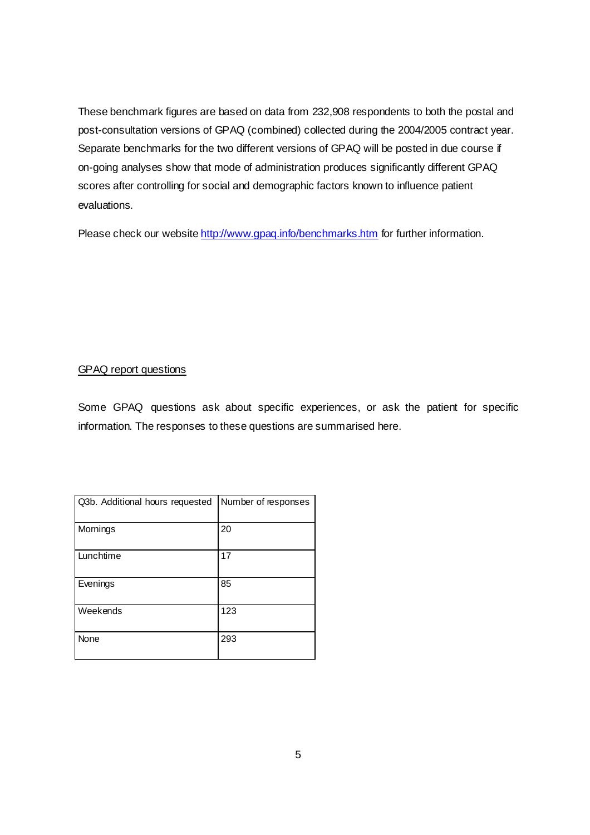These benchmark figures are based on data from 232,908 respondents to both the postal and post-consultation versions of GPAQ (combined) collected during the 2004/2005 contract year. Separate benchmarks for the two different versions of GPAQ will be posted in due course if on-going analyses show that mode of administration produces significantly different GPAQ scores after controlling for social and demographic factors known to influence patient evaluations.

Please check our website http://www.gpaq.info/benchmarks.htm for further information.

### GPAQ report questions

Some GPAQ questions ask about specific experiences, or ask the patient for specific information. The responses to these questions are summarised here.

| Q3b. Additional hours requested | Number of responses |
|---------------------------------|---------------------|
| Mornings                        | 20                  |
| Lunchtime                       | 17                  |
| Evenings                        | 85                  |
| Weekends                        | 123                 |
| None                            | 293                 |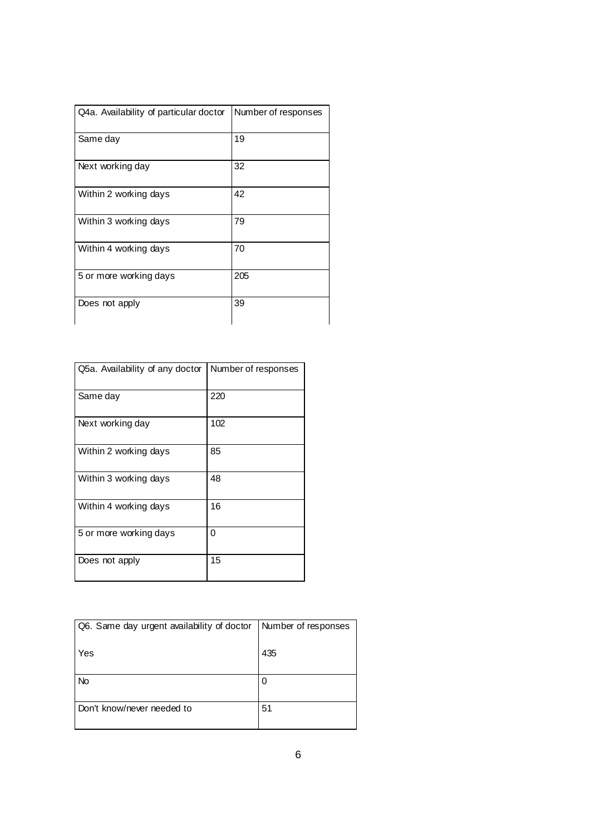| Q4a. Availability of particular doctor | Number of responses |
|----------------------------------------|---------------------|
| Same day                               | 19                  |
| Next working day                       | 32                  |
| Within 2 working days                  | 42                  |
| Within 3 working days                  | 79                  |
| Within 4 working days                  | 70                  |
| 5 or more working days                 | 205                 |
| Does not apply                         | 39                  |

| Q5a. Availability of any doctor | Number of responses |
|---------------------------------|---------------------|
| Same day                        | 220                 |
| Next working day                | 102                 |
| Within 2 working days           | 85                  |
| Within 3 working days           | 48                  |
| Within 4 working days           | 16                  |
| 5 or more working days          | 0                   |
| Does not apply                  | 15                  |

| Q6. Same day urgent availability of doctor | Number of responses |
|--------------------------------------------|---------------------|
| Yes                                        | 435                 |
| <b>No</b>                                  | 0                   |
|                                            |                     |
| Don't know/never needed to                 | 51                  |
|                                            |                     |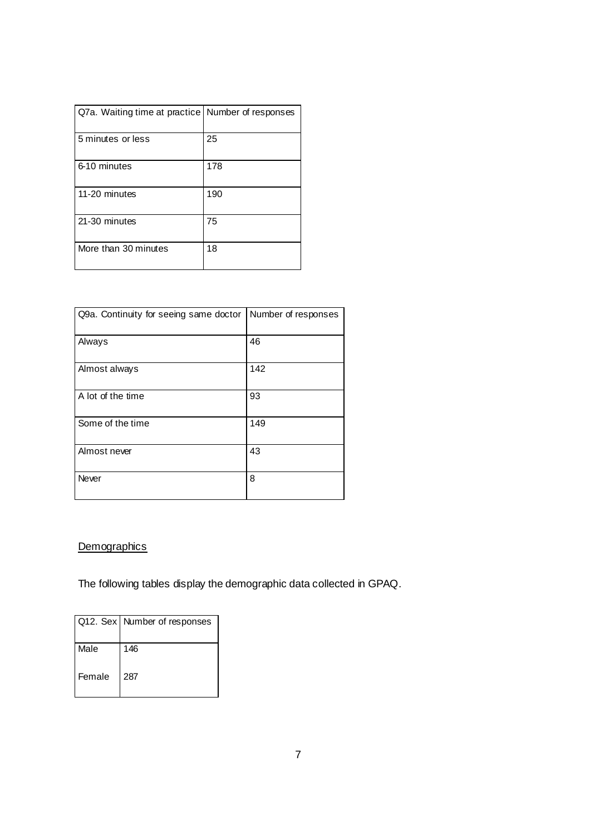| Q7a. Waiting time at practice Number of responses |     |
|---------------------------------------------------|-----|
| 5 minutes or less                                 | 25  |
| 6-10 minutes                                      | 178 |
| 11-20 minutes                                     | 190 |
| 21-30 minutes                                     | 75  |
| More than 30 minutes                              | 18  |

| Q9a. Continuity for seeing same doctor | Number of responses |
|----------------------------------------|---------------------|
| Always                                 | 46                  |
| Almost always                          | 142                 |
| A lot of the time                      | 93                  |
| Some of the time                       | 149                 |
| Almost never                           | 43                  |
| Never                                  | 8                   |

## **Demographics**

The following tables display the demographic data collected in GPAQ.

|        | Q12. Sex   Number of responses |
|--------|--------------------------------|
| Male   | 146                            |
| Female | 287                            |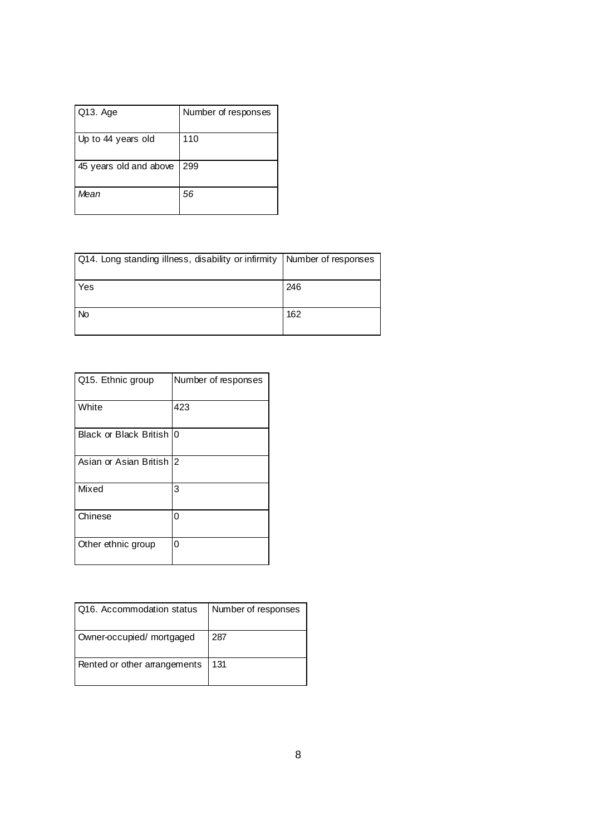| Q13. Age               | Number of responses |
|------------------------|---------------------|
| Up to 44 years old     | 110                 |
| 45 years old and above | 299                 |
| Mean                   | 56                  |

| Q14. Long standing illness, disability or infirmity   Number of responses |     |
|---------------------------------------------------------------------------|-----|
| Yes                                                                       | 246 |
| <b>No</b>                                                                 | 162 |

| Q15. Ethnic group         | Number of responses |
|---------------------------|---------------------|
| White                     | 423                 |
| Black or Black British I0 |                     |
| Asian or Asian British 2  |                     |
| Mixed                     | 3                   |
| Chinese                   | 0                   |
| Other ethnic group        | ი                   |

| Q16. Accommodation status    | Number of responses |
|------------------------------|---------------------|
| Owner-occupied/ mortgaged    | 287                 |
| Rented or other arrangements | 131                 |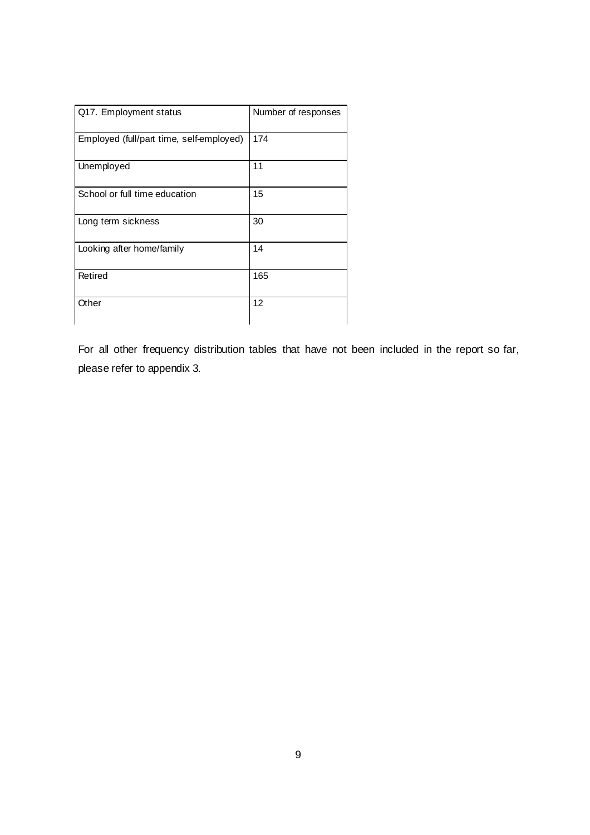| Q17. Employment status                   | Number of responses |
|------------------------------------------|---------------------|
| Employed (full/part time, self-employed) | 174                 |
| Unemployed                               | 11                  |
| School or full time education            | 15                  |
| Long term sickness                       | 30                  |
| Looking after home/family                | 14                  |
| Retired                                  | 165                 |
| Other                                    | 12                  |

For all other frequency distribution tables that have not been included in the report so far, please refer to appendix 3.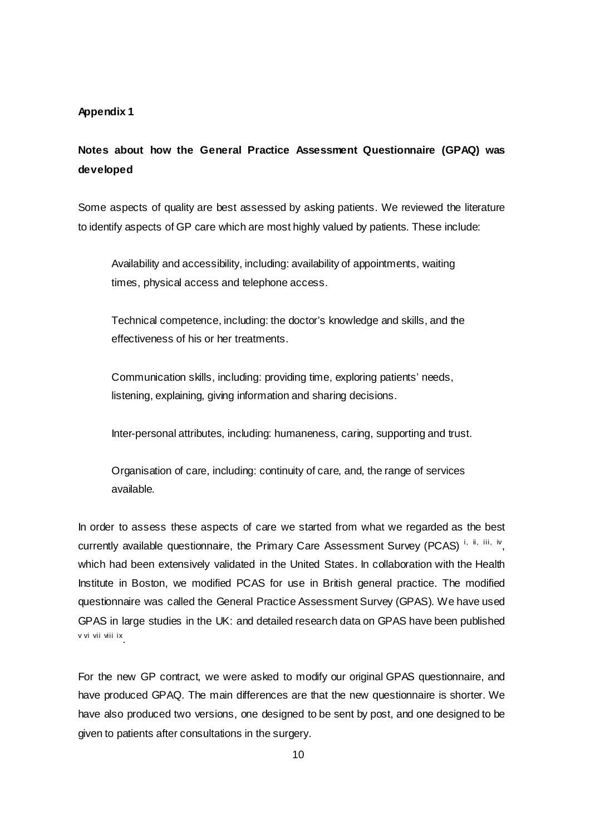#### **Appendix 1**

# **Notes about how the General Practice Assessment Questionnaire (GPAQ) was developed**

Some aspects of quality are best assessed by asking patients. We reviewed the literature to identify aspects of GP care which are most highly valued by patients. These include:

Availability and accessibility, including: availability of appointments, waiting times, physical access and telephone access.

Technical competence, including: the doctor's knowledge and skills, and the effectiveness of his or her treatments.

Communication skills, including: providing time, exploring patients' needs, listening, explaining, giving information and sharing decisions.

Inter-personal attributes, including: humaneness, caring, supporting and trust.

Organisation of care, including: continuity of care, and, the range of services available.

In order to assess these aspects of care we started from what we regarded as the best currently available questionnaire, the Primary Care Assessment Survey (PCAS)<sup>i, ii, iii, iv</sup>, which had been extensively validated in the United States. In collaboration with the Health Institute in Boston, we modified PCAS for use in British general practice. The modified questionnaire was called the General Practice Assessment Survey (GPAS). We have used GPAS in large studies in the UK: and detailed research data on GPAS have been published v vi vii viii ix .

For the new GP contract, we were asked to modify our original GPAS questionnaire, and have produced GPAQ. The main differences are that the new questionnaire is shorter. We have also produced two versions, one designed to be sent by post, and one designed to be given to patients after consultations in the surgery.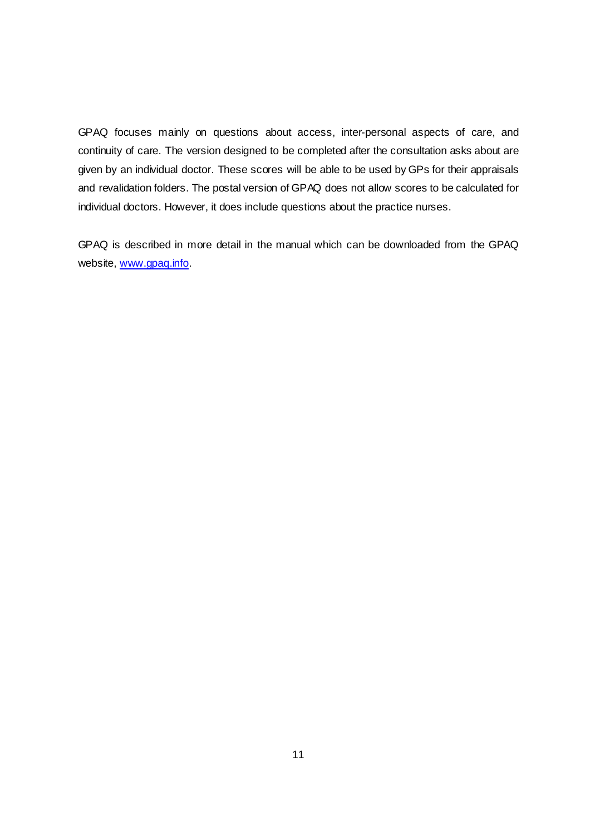GPAQ focuses mainly on questions about access, inter-personal aspects of care, and continuity of care. The version designed to be completed after the consultation asks about are given by an individual doctor. These scores will be able to be used by GPs for their appraisals and revalidation folders. The postal version of GPAQ does not allow scores to be calculated for individual doctors. However, it does include questions about the practice nurses.

GPAQ is described in more detail in the manual which can be downloaded from the GPAQ website, www.gpaq.info.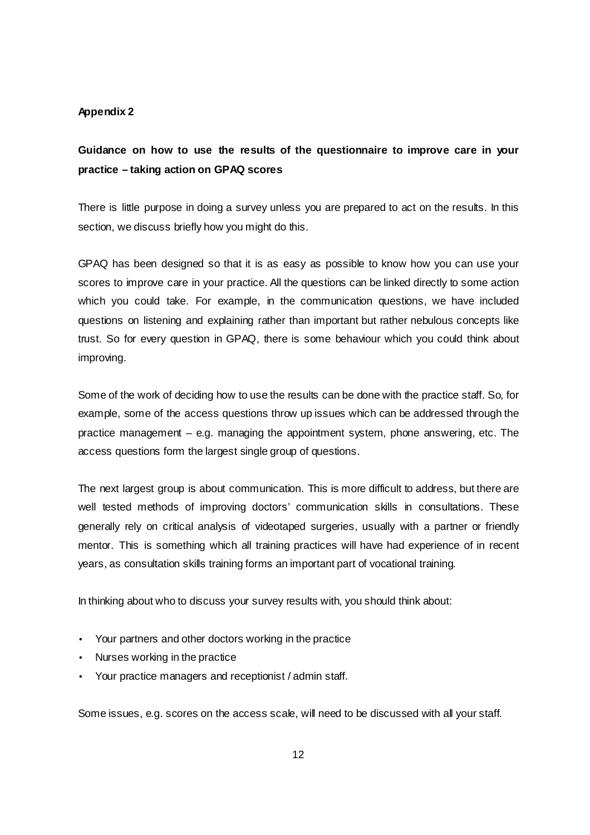#### **Appendix 2**

# **Guidance on how to use the results of the questionnaire to improve care in your practice – taking action on GPAQ scores**

There is little purpose in doing a survey unless you are prepared to act on the results. In this section, we discuss briefly how you might do this.

GPAQ has been designed so that it is as easy as possible to know how you can use your scores to improve care in your practice. All the questions can be linked directly to some action which you could take. For example, in the communication questions, we have included questions on listening and explaining rather than important but rather nebulous concepts like trust. So for every question in GPAQ, there is some behaviour which you could think about improving.

Some of the work of deciding how to use the results can be done with the practice staff. So, for example, some of the access questions throw up issues which can be addressed through the practice management – e.g. managing the appointment system, phone answering, etc. The access questions form the largest single group of questions.

The next largest group is about communication. This is more difficult to address, but there are well tested methods of improving doctors' communication skills in consultations. These generally rely on critical analysis of videotaped surgeries, usually with a partner or friendly mentor. This is something which all training practices will have had experience of in recent years, as consultation skills training forms an important part of vocational training.

In thinking about who to discuss your survey results with, you should think about:

- Your partners and other doctors working in the practice
- Nurses working in the practice
- Your practice managers and receptionist / admin staff.

Some issues, e.g. scores on the access scale, will need to be discussed with all your staff.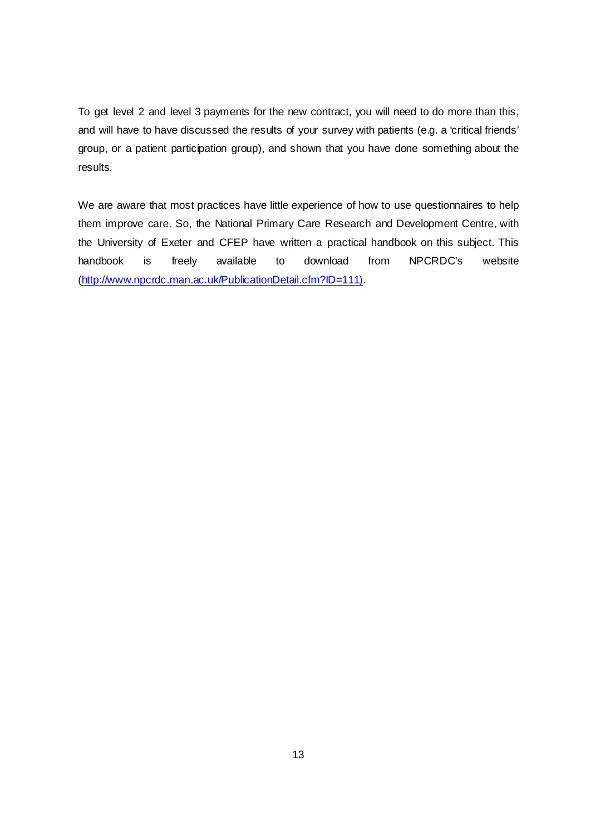To get level 2 and level 3 payments for the new contract, you will need to do more than this, and will have to have discussed the results of your survey with patients (e.g. a 'critical friends' group, or a patient participation group), and shown that you have done something about the results.

We are aware that most practices have little experience of how to use questionnaires to help them improve care. So, the National Primary Care Research and Development Centre, with the University of Exeter and CFEP have written a practical handbook on this subject. This handbook is freely available to download from NPCRDC's website (http://www.npcrdc.man.ac.uk/PublicationDetail.cfm?ID=111).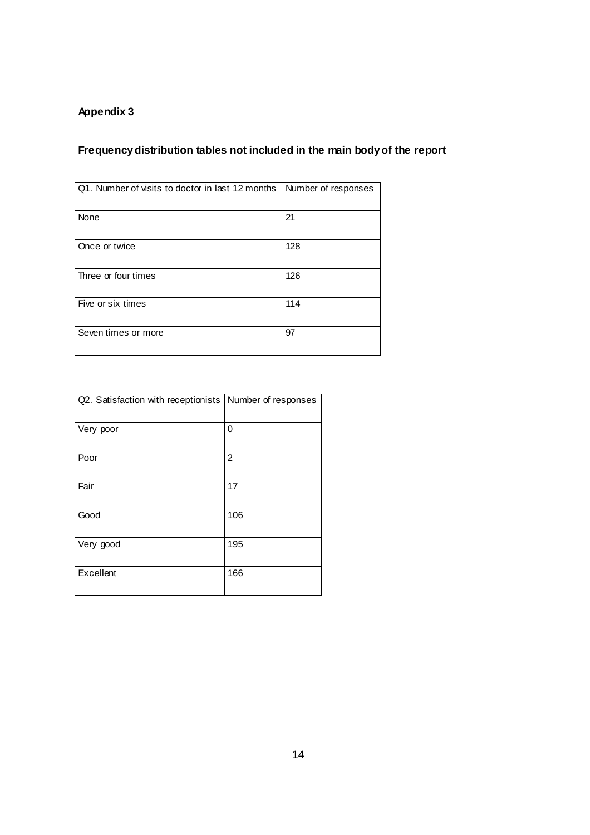# **Appendix 3**

# **Frequency distribution tables not included in the main body of the report**

| Q1. Number of visits to doctor in last 12 months | Number of responses |
|--------------------------------------------------|---------------------|
| None                                             | 21                  |
| Once or twice                                    | 128                 |
| Three or four times                              | 126                 |
| Five or six times                                | 114                 |
| Seven times or more                              | 97                  |

| Q2. Satisfaction with receptionists Number of responses |     |
|---------------------------------------------------------|-----|
| Very poor                                               | 0   |
| Poor                                                    | 2   |
| Fair                                                    | 17  |
| Good                                                    | 106 |
| Very good                                               | 195 |
| Excellent                                               | 166 |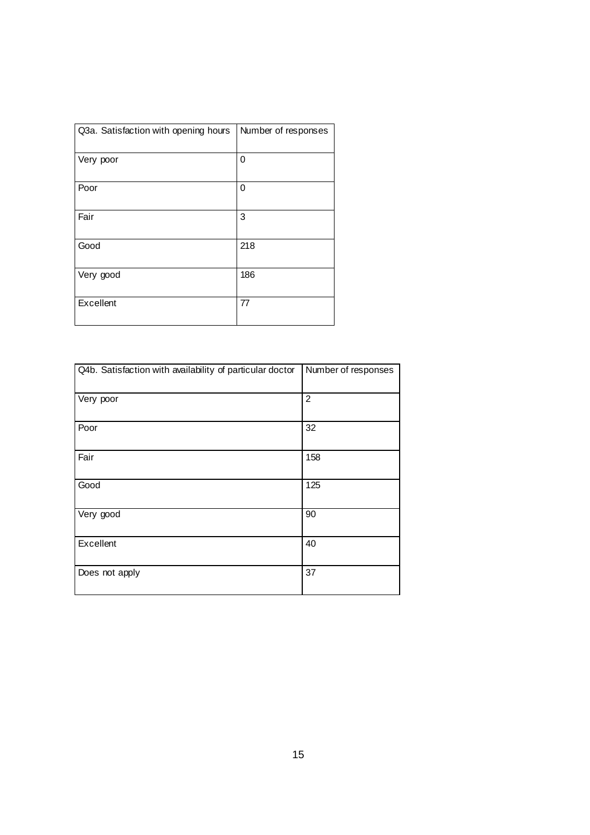| Q3a. Satisfaction with opening hours | Number of responses |
|--------------------------------------|---------------------|
| Very poor                            | 0                   |
| Poor                                 | 0                   |
| Fair                                 | 3                   |
| Good                                 | 218                 |
| Very good                            | 186                 |
| Excellent                            | 77                  |

| Q4b. Satisfaction with availability of particular doctor | Number of responses |
|----------------------------------------------------------|---------------------|
| Very poor                                                | $\overline{2}$      |
| Poor                                                     | 32                  |
| Fair                                                     | 158                 |
| Good                                                     | 125                 |
| Very good                                                | 90                  |
| Excellent                                                | 40                  |
| Does not apply                                           | 37                  |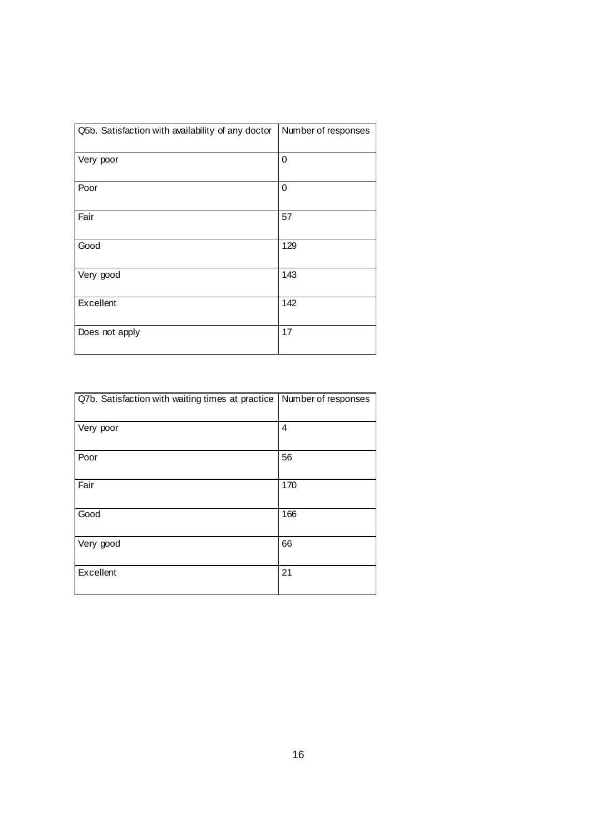| Q5b. Satisfaction with availability of any doctor | Number of responses |
|---------------------------------------------------|---------------------|
| Very poor                                         | $\mathbf 0$         |
| Poor                                              | 0                   |
| Fair                                              | 57                  |
| Good                                              | 129                 |
| Very good                                         | 143                 |
| Excellent                                         | 142                 |
| Does not apply                                    | 17                  |

| Q7b. Satisfaction with waiting times at practice   Number of responses |     |
|------------------------------------------------------------------------|-----|
| Very poor                                                              | 4   |
| Poor                                                                   | 56  |
| Fair                                                                   | 170 |
| Good                                                                   | 166 |
| Very good                                                              | 66  |
| Excellent                                                              | 21  |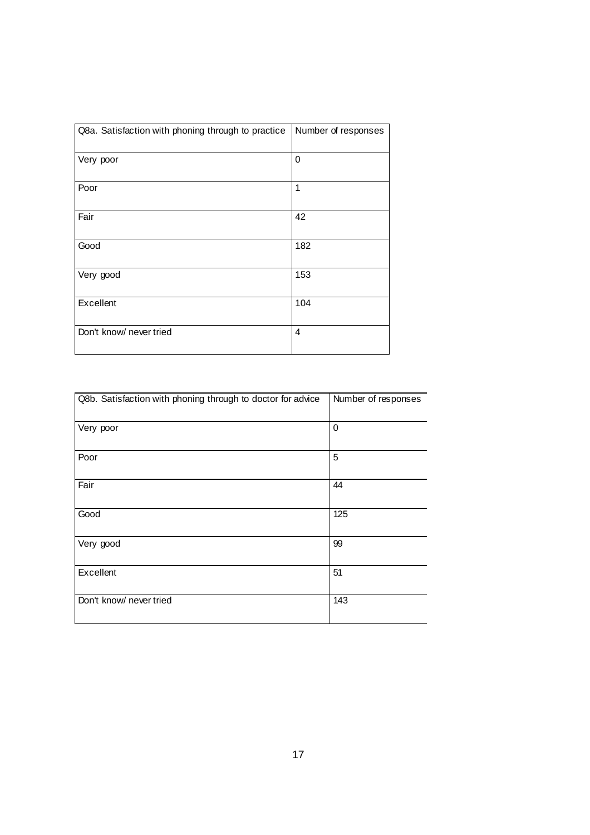| Q8a. Satisfaction with phoning through to practice | Number of responses |
|----------------------------------------------------|---------------------|
| Very poor                                          | $\mathbf 0$         |
| Poor                                               | 1                   |
| Fair                                               | 42                  |
| Good                                               | 182                 |
| Very good                                          | 153                 |
| Excellent                                          | 104                 |
| Don't know/ never tried                            | $\overline{4}$      |

| Q8b. Satisfaction with phoning through to doctor for advice | Number of responses |
|-------------------------------------------------------------|---------------------|
| Very poor                                                   | 0                   |
| Poor                                                        | 5                   |
| Fair                                                        | 44                  |
| Good                                                        | 125                 |
| Very good                                                   | 99                  |
| Excellent                                                   | 51                  |
| Don't know/ never tried                                     | 143                 |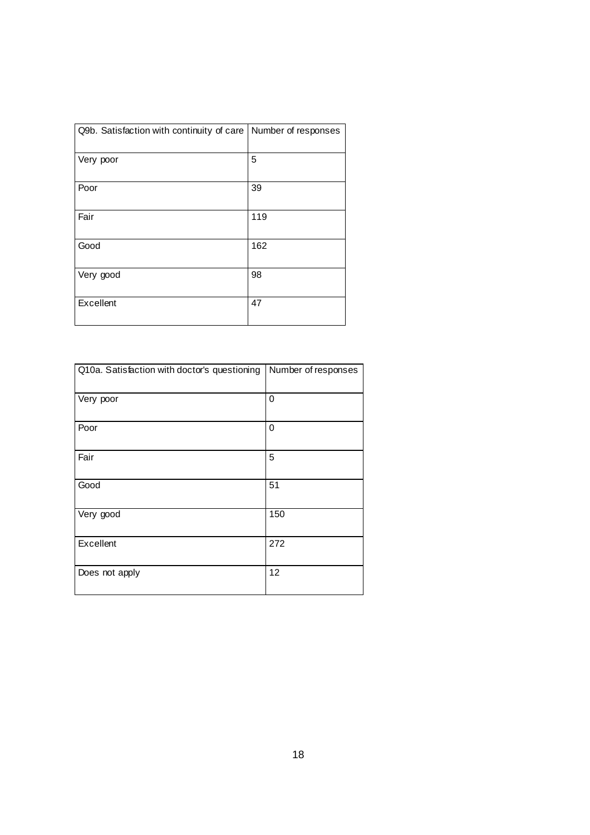| Q9b. Satisfaction with continuity of care   Number of responses |     |
|-----------------------------------------------------------------|-----|
| Very poor                                                       | 5   |
| Poor                                                            | 39  |
| Fair                                                            | 119 |
| Good                                                            | 162 |
| Very good                                                       | 98  |
| Excellent                                                       | 47  |

| Q10a. Satisfaction with doctor's questioning | Number of responses |
|----------------------------------------------|---------------------|
| Very poor                                    | 0                   |
| Poor                                         | 0                   |
| Fair                                         | 5                   |
| Good                                         | 51                  |
| Very good                                    | 150                 |
| Excellent                                    | 272                 |
| Does not apply                               | 12                  |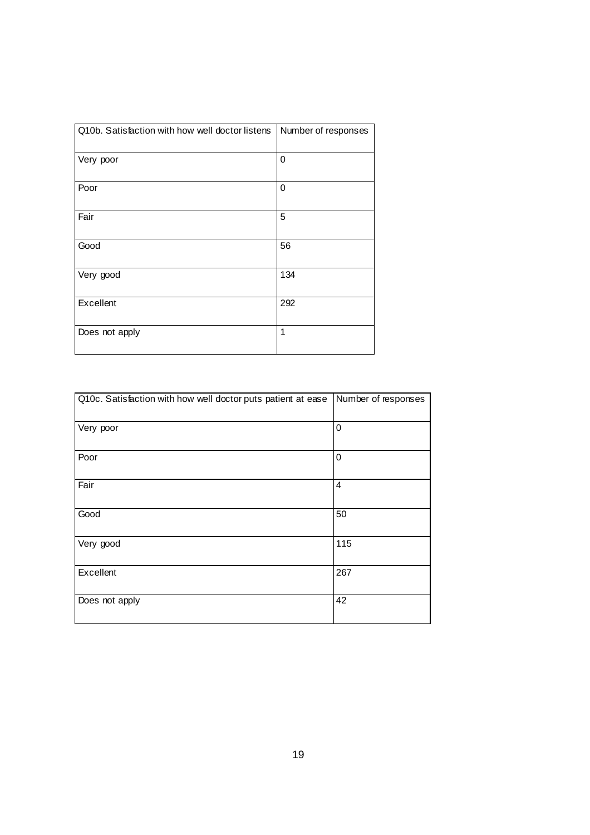| Q10b. Satisfaction with how well doctor listens | Number of responses |
|-------------------------------------------------|---------------------|
| Very poor                                       | 0                   |
| Poor                                            | 0                   |
| Fair                                            | 5                   |
| Good                                            | 56                  |
| Very good                                       | 134                 |
| Excellent                                       | 292                 |
| Does not apply                                  | 1                   |

| Q10c. Satisfaction with how well doctor puts patient at ease | Number of responses |
|--------------------------------------------------------------|---------------------|
| Very poor                                                    | 0                   |
| Poor                                                         | 0                   |
| Fair                                                         | $\overline{4}$      |
| Good                                                         | 50                  |
| Very good                                                    | 115                 |
| Excellent                                                    | 267                 |
| Does not apply                                               | 42                  |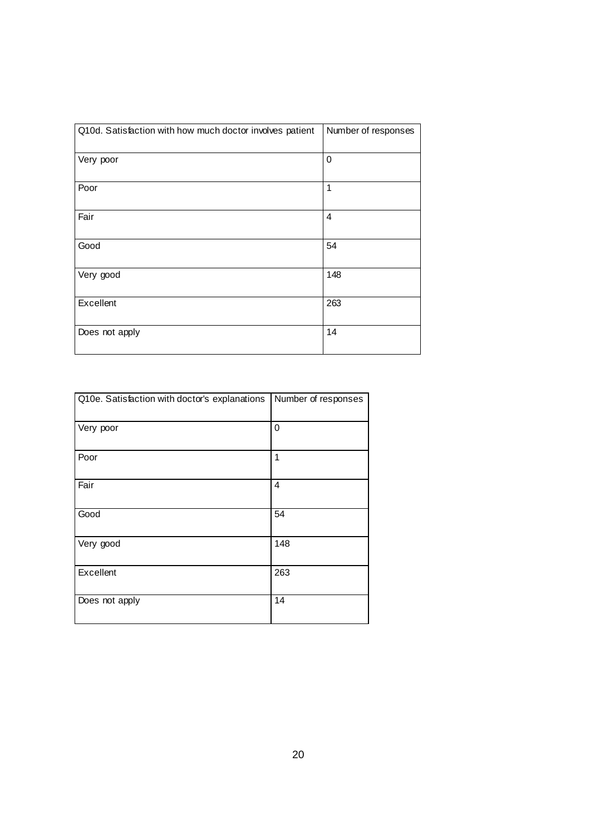| Q10d. Satisfaction with how much doctor involves patient | Number of responses |
|----------------------------------------------------------|---------------------|
| Very poor                                                | 0                   |
| Poor                                                     | 1                   |
| Fair                                                     | $\overline{4}$      |
| Good                                                     | 54                  |
| Very good                                                | 148                 |
| Excellent                                                | 263                 |
| Does not apply                                           | 14                  |

| Q10e. Satisfaction with doctor's explanations | Number of responses |
|-----------------------------------------------|---------------------|
| Very poor                                     | 0                   |
| Poor                                          | 1                   |
| Fair                                          | 4                   |
| Good                                          | 54                  |
| Very good                                     | 148                 |
| Excellent                                     | 263                 |
| Does not apply                                | 14                  |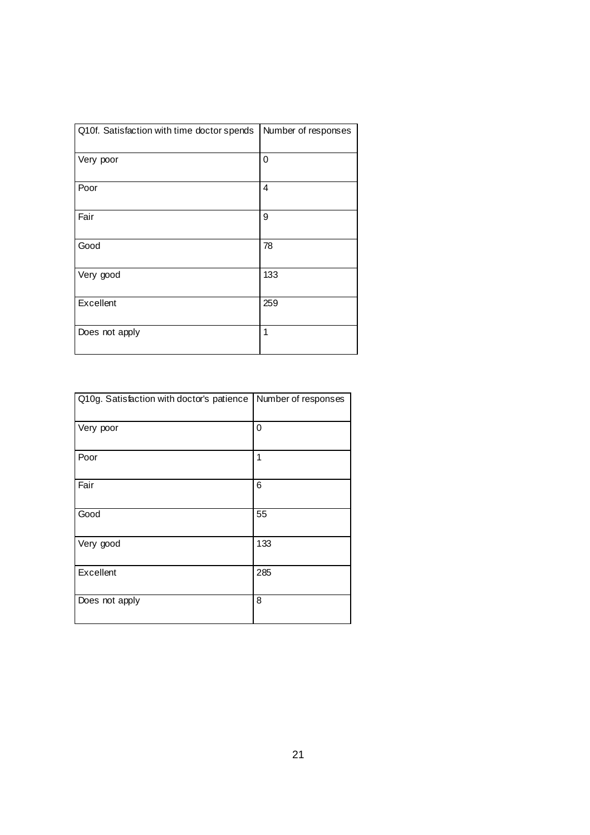| Q10f. Satisfaction with time doctor spends | Number of responses |
|--------------------------------------------|---------------------|
| Very poor                                  | 0                   |
| Poor                                       | 4                   |
| Fair                                       | 9                   |
| Good                                       | 78                  |
| Very good                                  | 133                 |
| Excellent                                  | 259                 |
| Does not apply                             | 1                   |

| Q10g. Satisfaction with doctor's patience | Number of responses |
|-------------------------------------------|---------------------|
| Very poor                                 | 0                   |
| Poor                                      | 1                   |
| Fair                                      | 6                   |
| Good                                      | 55                  |
| Very good                                 | 133                 |
| Excellent                                 | 285                 |
| Does not apply                            | 8                   |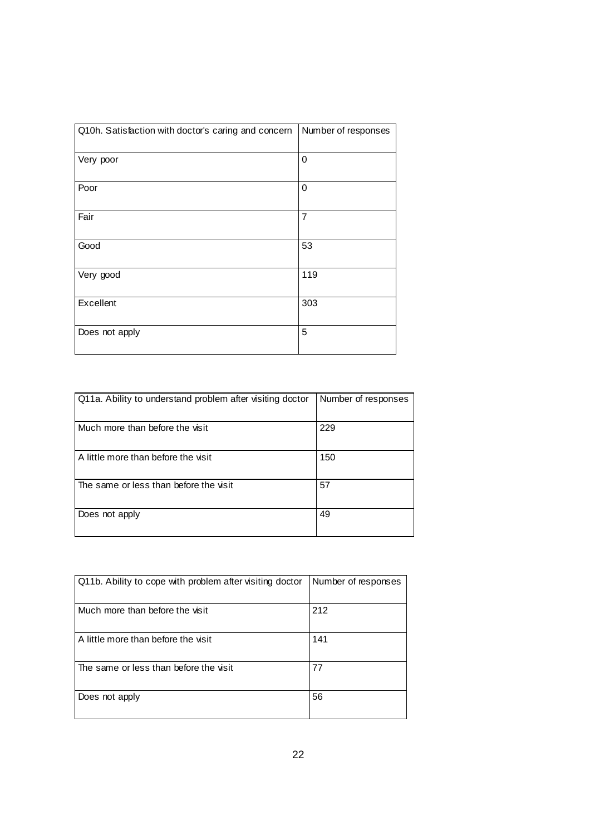| Q10h. Satisfaction with doctor's caring and concern | Number of responses |
|-----------------------------------------------------|---------------------|
| Very poor                                           | 0                   |
| Poor                                                | 0                   |
| Fair                                                | $\overline{7}$      |
| Good                                                | 53                  |
| Very good                                           | 119                 |
| Excellent                                           | 303                 |
| Does not apply                                      | 5                   |

| Q11a. Ability to understand problem after visiting doctor | Number of responses |
|-----------------------------------------------------------|---------------------|
|                                                           |                     |
| Much more than before the visit                           | 229                 |
| A little more than before the visit                       | 150                 |
| The same or less than before the visit                    | 57                  |
| Does not apply                                            | 49                  |

| Q11b. Ability to cope with problem after visiting doctor | Number of responses |
|----------------------------------------------------------|---------------------|
| Much more than before the visit                          | 212                 |
| A little more than before the visit                      | 141                 |
| The same or less than before the visit                   | 77                  |
| Does not apply                                           | 56                  |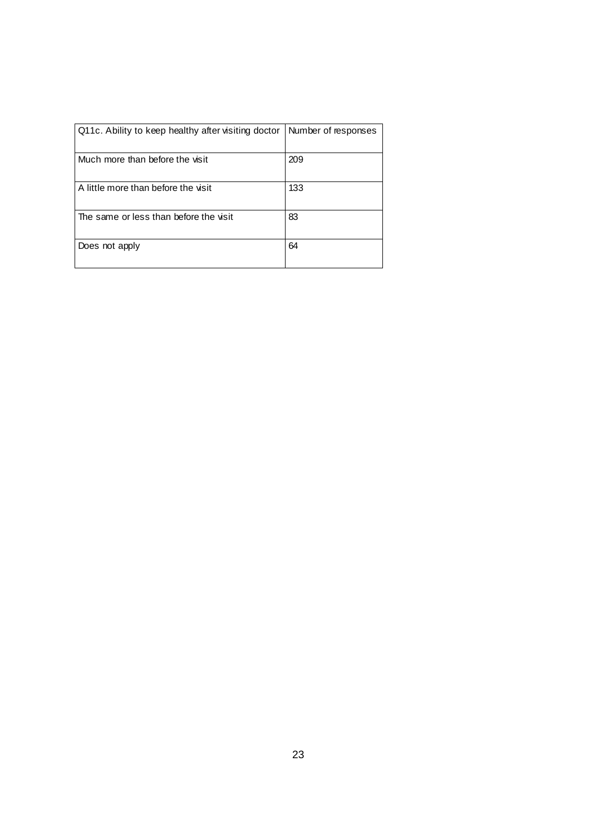| Q11c. Ability to keep healthy after visiting doctor | Number of responses |
|-----------------------------------------------------|---------------------|
| Much more than before the visit                     | 209                 |
| A little more than before the visit                 | 133                 |
| The same or less than before the visit              | 83                  |
| Does not apply                                      | 64                  |